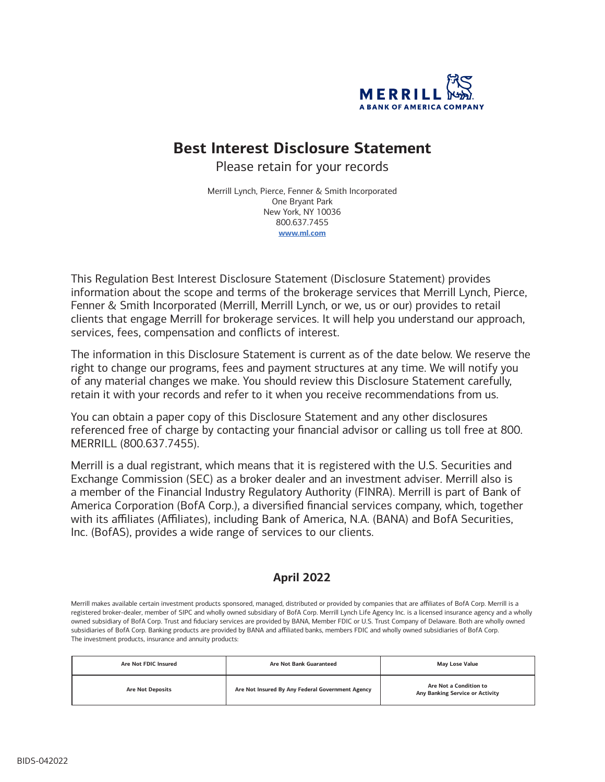

# **Best Interest Disclosure Statement**

Please retain for your records

Merrill Lynch, Pierce, Fenner & Smith Incorporated One Bryant Park New York, NY 10036 800.637.7455 **[www.ml.com](http://www.ml.com)**

This Regulation Best Interest Disclosure Statement (Disclosure Statement) provides information about the scope and terms of the brokerage services that Merrill Lynch, Pierce, Fenner & Smith Incorporated (Merrill, Merrill Lynch, or we, us or our) provides to retail clients that engage Merrill for brokerage services. It will help you understand our approach, services, fees, compensation and conflicts of interest.

The information in this Disclosure Statement is current as of the date below. We reserve the right to change our programs, fees and payment structures at any time. We will notify you of any material changes we make. You should review this Disclosure Statement carefully, retain it with your records and refer to it when you receive recommendations from us.

You can obtain a paper copy of this Disclosure Statement and any other disclosures referenced free of charge by contacting your financial advisor or calling us toll free at 800. MERRILL (800.637.7455).

Merrill is a dual registrant, which means that it is registered with the U.S. Securities and Exchange Commission (SEC) as a broker dealer and an investment adviser. Merrill also is a member of the Financial Industry Regulatory Authority (FINRA). Merrill is part of Bank of America Corporation (BofA Corp.), a diversified financial services company, which, together with its affiliates (Affiliates), including Bank of America, N.A. (BANA) and BofA Securities, Inc. (BofAS), provides a wide range of services to our clients.

## **April 2022**

Merrill makes available certain investment products sponsored, managed, distributed or provided by companies that are affiliates of BofA Corp. Merrill is a registered broker-dealer, member of SIPC and wholly owned subsidiary of BofA Corp. Merrill Lynch Life Agency Inc. is a licensed insurance agency and a wholly owned subsidiary of BofA Corp. Trust and fiduciary services are provided by BANA, Member FDIC or U.S. Trust Company of Delaware. Both are wholly owned subsidiaries of BofA Corp. Banking products are provided by BANA and affiliated banks, members FDIC and wholly owned subsidiaries of BofA Corp. The investment products, insurance and annuity products:

| Are Not FDIC Insured    | <b>Are Not Bank Guaranteed</b>                   | <b>May Lose Value</b>                                     |
|-------------------------|--------------------------------------------------|-----------------------------------------------------------|
| <b>Are Not Deposits</b> | Are Not Insured By Any Federal Government Agency | Are Not a Condition to<br>Any Banking Service or Activity |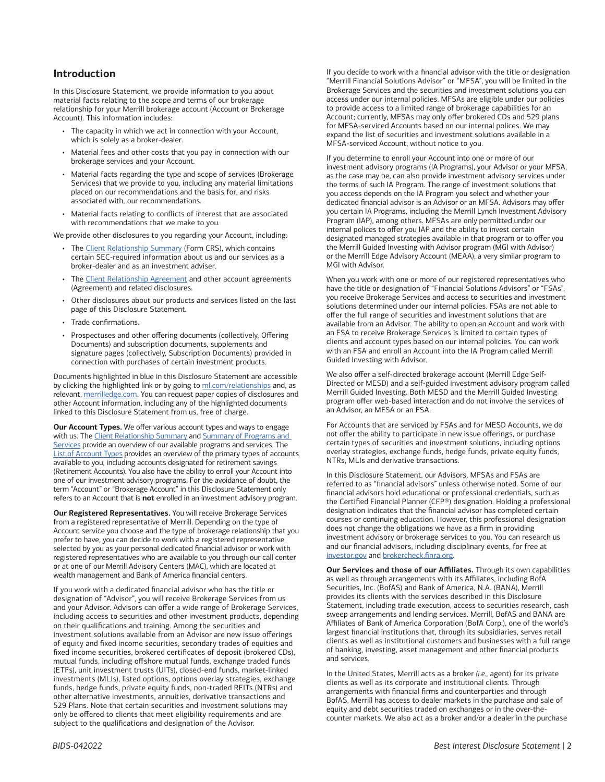## **Introduction**

In this Disclosure Statement, we provide information to you about material facts relating to the scope and terms of our brokerage relationship for your Merrill brokerage account (Account or Brokerage Account). This information includes:

- The capacity in which we act in connection with your Account, which is solely as a broker-dealer.
- Material fees and other costs that you pay in connection with our brokerage services and your Account.
- Material facts regarding the type and scope of services (Brokerage Services) that we provide to you, including any material limitations placed on our recommendations and the basis for, and risks associated with, our recommendations.
- Material facts relating to conflicts of interest that are associated with recommendations that we make to you.

We provide other disclosures to you regarding your Account, including:

- The [Client Relationship Summary](https://olui2.fs.ml.com/publish/content/application/pdf/GWMOL/Client_Relationship_Summary_CRS.pdf) (Form CRS), which contains certain SEC-required information about us and our services as a broker-dealer and as an investment adviser.
- The [Client Relationship Agreement](https://olui2.fs.ml.com/publish/content/application/pdf/GWMOL/ClientRelationshipAgreement.pdf) and other account agreements (Agreement) and related disclosures.
- Other disclosures about our products and services listed on the last page of this Disclosure Statement.
- Trade confirmations.
- Prospectuses and other offering documents (collectively, Offering Documents) and subscription documents, supplements and signature pages (collectively, Subscription Documents) provided in connection with purchases of certain investment products.

Documents highlighted in blue in this Disclosure Statement are accessible by clicking the highlighted link or by going to [ml.com/relationships](http://ml.com/relationships) and, as relevant, [merrilledge.com.](http://www.merrilledge.com/) You can request paper copies of disclosures and other Account information, including any of the highlighted documents linked to this Disclosure Statement from us, free of charge.

**Our Account Types.** We offer various account types and ways to engage with us. The [Client Relationship Summary](https://olui2.fs.ml.com/publish/content/application/pdf/GWMOL/Client_Relationship_Summary_CRS.pdf) and Summary of Programs and [Services](https://olui2.fs.ml.com/Publish/Content/application/pdf/GWMOL/summary-programs-services.pdf) provide an overview of our available programs and services. The [List of Account Types](https://olui2.fs.ml.com/publish/content/application/pdf/GWMOL/Merrill-Account-Types.pdf) provides an overview of the primary types of accounts available to you, including accounts designated for retirement savings (Retirement Accounts). You also have the ability to enroll your Account into one of our investment advisory programs. For the avoidance of doubt, the term "Account" or "Brokerage Account" in this Disclosure Statement only refers to an Account that is **not** enrolled in an investment advisory program.

**Our Registered Representatives.** You will receive Brokerage Services from a registered representative of Merrill. Depending on the type of Account service you choose and the type of brokerage relationship that you prefer to have, you can decide to work with a registered representative selected by you as your personal dedicated financial advisor or work with registered representatives who are available to you through our call center or at one of our Merrill Advisory Centers (MAC), which are located at wealth management and Bank of America financial centers.

If you work with a dedicated financial advisor who has the title or designation of "Advisor", you will receive Brokerage Services from us and your Advisor. Advisors can offer a wide range of Brokerage Services, including access to securities and other investment products, depending on their qualifications and training. Among the securities and investment solutions available from an Advisor are new issue offerings of equity and fixed income securities, secondary trades of equities and fixed income securities, brokered certificates of deposit (brokered CDs), mutual funds, including offshore mutual funds, exchange traded funds (ETFs), unit investment trusts (UITs), closed-end funds, market-linked investments (MLIs), listed options, options overlay strategies, exchange funds, hedge funds, private equity funds, non-traded REITs (NTRs) and other alternative investments, annuities, derivative transactions and 529 Plans. Note that certain securities and investment solutions may only be offered to clients that meet eligibility requirements and are subject to the qualifications and designation of the Advisor.

If you decide to work with a financial advisor with the title or designation "Merrill Financial Solutions Advisor" or "MFSA", you will be limited in the Brokerage Services and the securities and investment solutions you can access under our internal policies. MFSAs are eligible under our policies to provide access to a limited range of brokerage capabilities for an Account; currently, MFSAs may only offer brokered CDs and 529 plans for MFSA-serviced Accounts based on our internal polices. We may expand the list of securities and investment solutions available in a MFSA-serviced Account, without notice to you.

If you determine to enroll your Account into one or more of our investment advisory programs (IA Programs), your Advisor or your MFSA, as the case may be, can also provide investment advisory services under the terms of such IA Program. The range of investment solutions that you access depends on the IA Program you select and whether your dedicated financial advisor is an Advisor or an MFSA. Advisors may offer you certain IA Programs, including the Merrill Lynch Investment Advisory Program (IAP), among others. MFSAs are only permitted under our internal polices to offer you IAP and the ability to invest certain designated managed strategies available in that program or to offer you the Merrill Guided Investing with Advisor program (MGI with Advisor) or the Merrill Edge Advisory Account (MEAA), a very similar program to MGI with Advisor.

When you work with one or more of our registered representatives who have the title or designation of "Financial Solutions Advisors" or "FSAs", you receive Brokerage Services and access to securities and investment solutions determined under our internal policies. FSAs are not able to offer the full range of securities and investment solutions that are available from an Advisor. The ability to open an Account and work with an FSA to receive Brokerage Services is limited to certain types of clients and account types based on our internal policies. You can work with an FSA and enroll an Account into the IA Program called Merrill Guided Investing with Advisor.

We also offer a self-directed brokerage account (Merrill Edge Self-Directed or MESD) and a self-guided investment advisory program called Merrill Guided Investing. Both MESD and the Merrill Guided Investing program offer web-based interaction and do not involve the services of an Advisor, an MFSA or an FSA.

For Accounts that are serviced by FSAs and for MESD Accounts, we do not offer the ability to participate in new issue offerings, or purchase certain types of securities and investment solutions, including options overlay strategies, exchange funds, hedge funds, private equity funds, NTRs, MLIs and derivative transactions.

In this Disclosure Statement, our Advisors, MFSAs and FSAs are referred to as "financial advisors" unless otherwise noted. Some of our financial advisors hold educational or professional credentials, such as the Certified Financial Planner (CFP®) designation. Holding a professional designation indicates that the financial advisor has completed certain courses or continuing education. However, this professional designation does not change the obligations we have as a firm in providing investment advisory or brokerage services to you. You can research us and our financial advisors, including disciplinary events, for free at [investor.gov](https://www.investor.gov/) and [brokercheck.finra.org.](https://brokercheck.finra.org/)

**Our Services and those of our Affiliates.** Through its own capabilities as well as through arrangements with its Affiliates, including BofA Securities, Inc. (BofAS) and Bank of America, N.A. (BANA), Merrill provides its clients with the services described in this Disclosure Statement, including trade execution, access to securities research, cash sweep arrangements and lending services. Merrill, BofAS and BANA are Affiliates of Bank of America Corporation (BofA Corp.), one of the world's largest financial institutions that, through its subsidiaries, serves retail clients as well as institutional customers and businesses with a full range of banking, investing, asset management and other financial products and services.

In the United States, Merrill acts as a broker *(i.e.,* agent) for its private clients as well as its corporate and institutional clients. Through arrangements with financial firms and counterparties and through BofAS, Merrill has access to dealer markets in the purchase and sale of equity and debt securities traded on exchanges or in the over-thecounter markets. We also act as a broker and/or a dealer in the purchase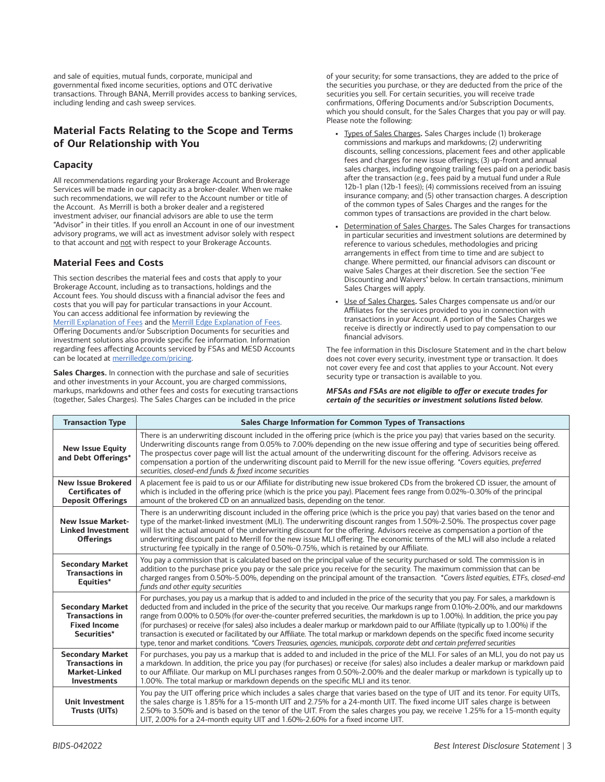and sale of equities, mutual funds, corporate, municipal and governmental fixed income securities, options and OTC derivative transactions. Through BANA, Merrill provides access to banking services, including lending and cash sweep services.

## **Material Facts Relating to the Scope and Terms of Our Relationship with You**

## **Capacity**

All recommendations regarding your Brokerage Account and Brokerage Services will be made in our capacity as a broker-dealer. When we make such recommendations, we will refer to the Account number or title of the Account. As Merrill is both a broker dealer and a registered investment adviser, our financial advisors are able to use the term "Advisor" in their titles. If you enroll an Account in one of our investment advisory programs, we will act as investment advisor solely with respect to that account and not with respect to your Brokerage Accounts.

## **Material Fees and Costs**

This section describes the material fees and costs that apply to your Brokerage Account, including as to transactions, holdings and the Account fees. You should discuss with a financial advisor the fees and costs that you will pay for particular transactions in your Account. You can access additional fee information by reviewing the [Merrill Explanation of Fees](https://olui2.fs.ml.com/publish/content/application/pdf/GWMOL/pricing-investment-solutions.pdf) and the [Merrill Edge Explanation of Fees.](https://olui2.fs.ml.com/Publish/Content/application/pdf/GWMOL/ME-merrill-advisory-center-trading-fees.pdf) Offering Documents and/or Subscription Documents for securities and investment solutions also provide specific fee information. Information regarding fees affecting Accounts serviced by FSAs and MESD Accounts can be located at [merrilledge.com/pricing.](https://www.merrilledge.com/pricing)

**Sales Charges.** In connection with the purchase and sale of securities and other investments in your Account, you are charged commissions, markups, markdowns and other fees and costs for executing transactions (together, Sales Charges). The Sales Charges can be included in the price

of your security; for some transactions, they are added to the price of the securities you purchase, or they are deducted from the price of the securities you sell. For certain securities, you will receive trade confirmations, Offering Documents and/or Subscription Documents, which you should consult, for the Sales Charges that you pay or will pay. Please note the following:

- **•** Types of Sales Charges**.** Sales Charges include (1) brokerage commissions and markups and markdowns; (2) underwriting discounts, selling concessions, placement fees and other applicable fees and charges for new issue offerings; (3) up-front and annual sales charges, including ongoing trailing fees paid on a periodic basis after the transaction (*e.g.,* fees paid by a mutual fund under a Rule 12b-1 plan (12b-1 fees)); (4) commissions received from an issuing insurance company; and (5) other transaction charges. A description of the common types of Sales Charges and the ranges for the common types of transactions are provided in the chart below.
- **•** Determination of Sales Charges**.** The Sales Charges for transactions in particular securities and investment solutions are determined by reference to various schedules, methodologies and pricing arrangements in effect from time to time and are subject to change. Where permitted, our financial advisors can discount or waive Sales Charges at their discretion. See the section "Fee Discounting and Waivers" below. In certain transactions, minimum Sales Charges will apply.
- **•** Use of Sales Charges**.** Sales Charges compensate us and/or our Affiliates for the services provided to you in connection with transactions in your Account. A portion of the Sales Charges we receive is directly or indirectly used to pay compensation to our financial advisors.

The fee information in this Disclosure Statement and in the chart below does not cover every security, investment type or transaction. It does not cover every fee and cost that applies to your Account. Not every security type or transaction is available to you.

*MFSAs and FSAs are not eligible to offer or execute trades for certain of the securities or investment solutions listed below.*

| <b>Transaction Type</b>                                                                         | Sales Charge Information for Common Types of Transactions                                                                                                                                                                                                                                                                                                                                                                                                                                                                                                                                                                                                                                                                                                                                                                     |
|-------------------------------------------------------------------------------------------------|-------------------------------------------------------------------------------------------------------------------------------------------------------------------------------------------------------------------------------------------------------------------------------------------------------------------------------------------------------------------------------------------------------------------------------------------------------------------------------------------------------------------------------------------------------------------------------------------------------------------------------------------------------------------------------------------------------------------------------------------------------------------------------------------------------------------------------|
| <b>New Issue Equity</b><br>and Debt Offerings*                                                  | There is an underwriting discount included in the offering price (which is the price you pay) that varies based on the security.<br>Underwriting discounts range from 0.05% to 7.00% depending on the new issue offering and type of securities being offered.<br>The prospectus cover page will list the actual amount of the underwriting discount for the offering. Advisors receive as<br>compensation a portion of the underwriting discount paid to Merrill for the new issue offering. *Covers equities, preferred<br>securities, closed-end funds & fixed income securities                                                                                                                                                                                                                                           |
| <b>New Issue Brokered</b><br><b>Certificates of</b><br><b>Deposit Offerings</b>                 | A placement fee is paid to us or our Affiliate for distributing new issue brokered CDs from the brokered CD issuer, the amount of<br>which is included in the offering price (which is the price you pay). Placement fees range from 0.02%-0.30% of the principal<br>amount of the brokered CD on an annualized basis, depending on the tenor.                                                                                                                                                                                                                                                                                                                                                                                                                                                                                |
| <b>New Issue Market-</b><br><b>Linked Investment</b><br><b>Offerings</b>                        | There is an underwriting discount included in the offering price (which is the price you pay) that varies based on the tenor and<br>type of the market-linked investment (MLI). The underwriting discount ranges from 1.50%-2.50%. The prospectus cover page<br>will list the actual amount of the underwriting discount for the offering. Advisors receive as compensation a portion of the<br>underwriting discount paid to Merrill for the new issue MLI offering. The economic terms of the MLI will also include a related<br>structuring fee typically in the range of 0.50%-0.75%, which is retained by our Affiliate.                                                                                                                                                                                                 |
| <b>Secondary Market</b><br><b>Transactions in</b><br>Equities*                                  | You pay a commission that is calculated based on the principal value of the security purchased or sold. The commission is in<br>addition to the purchase price you pay or the sale price you receive for the security. The maximum commission that can be<br>charged ranges from 0.50%-5.00%, depending on the principal amount of the transaction. *Covers listed equities, ETFs, closed-end<br>funds and other equity securities                                                                                                                                                                                                                                                                                                                                                                                            |
| <b>Secondary Market</b><br><b>Transactions in</b><br><b>Fixed Income</b><br>Securities*         | For purchases, you pay us a markup that is added to and included in the price of the security that you pay. For sales, a markdown is<br>deducted from and included in the price of the security that you receive. Our markups range from 0.10%-2.00%, and our markdowns<br>range from 0.00% to 0.50% (for over-the-counter preferred securities, the markdown is up to 1.00%). In addition, the price you pay<br>(for purchases) or receive (for sales) also includes a dealer markup or markdown paid to our Affiliate (typically up to 1.00%) if the<br>transaction is executed or facilitated by our Affiliate. The total markup or markdown depends on the specific fixed income security<br>type, tenor and market conditions. *Covers Treasuries, agencies, municipals, corporate debt and certain preferred securities |
| <b>Secondary Market</b><br><b>Transactions in</b><br><b>Market-Linked</b><br><b>Investments</b> | For purchases, you pay us a markup that is added to and included in the price of the MLI. For sales of an MLI, you do not pay us<br>a markdown. In addition, the price you pay (for purchases) or receive (for sales) also includes a dealer markup or markdown paid<br>to our Affiliate. Our markup on MLI purchases ranges from 0.50%-2.00% and the dealer markup or markdown is typically up to<br>1.00%. The total markup or markdown depends on the specific MLI and its tenor.                                                                                                                                                                                                                                                                                                                                          |
| <b>Unit Investment</b><br>Trusts (UITs)                                                         | You pay the UIT offering price which includes a sales charge that varies based on the type of UIT and its tenor. For equity UITs,<br>the sales charge is 1.85% for a 15-month UIT and 2.75% for a 24-month UIT. The fixed income UIT sales charge is between<br>2.50% to 3.50% and is based on the tenor of the UIT. From the sales charges you pay, we receive 1.25% for a 15-month equity<br>UIT, 2.00% for a 24-month equity UIT and 1.60%-2.60% for a fixed income UIT.                                                                                                                                                                                                                                                                                                                                                   |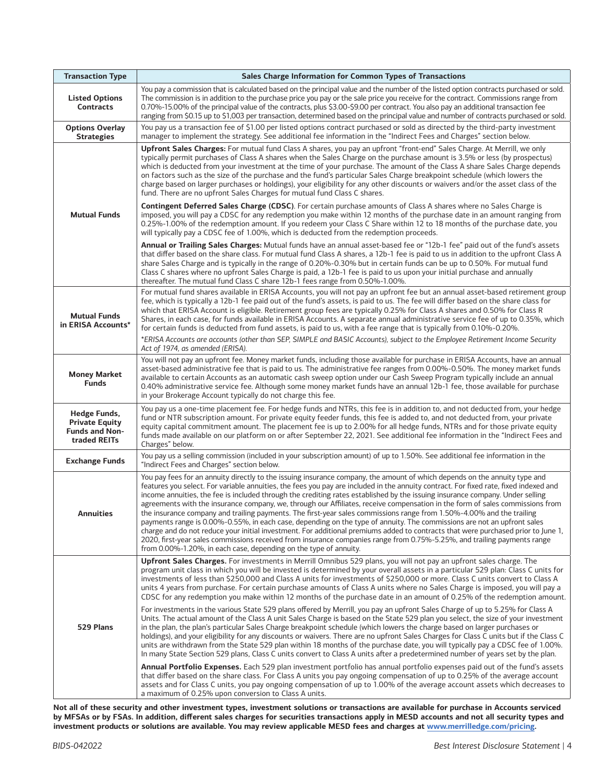| <b>Transaction Type</b>                                                        | Sales Charge Information for Common Types of Transactions                                                                                                                                                                                                                                                                                                                                                                                                                                                                                                                                                                                                                                                                                                                                                                                                                                                                                                                                                                                                                                                                       |
|--------------------------------------------------------------------------------|---------------------------------------------------------------------------------------------------------------------------------------------------------------------------------------------------------------------------------------------------------------------------------------------------------------------------------------------------------------------------------------------------------------------------------------------------------------------------------------------------------------------------------------------------------------------------------------------------------------------------------------------------------------------------------------------------------------------------------------------------------------------------------------------------------------------------------------------------------------------------------------------------------------------------------------------------------------------------------------------------------------------------------------------------------------------------------------------------------------------------------|
| <b>Listed Options</b><br><b>Contracts</b>                                      | You pay a commission that is calculated based on the principal value and the number of the listed option contracts purchased or sold.<br>The commission is in addition to the purchase price you pay or the sale price you receive for the contract. Commissions range from<br>0.70%-15.00% of the principal value of the contracts, plus \$3.00-\$9.00 per contract. You also pay an additional transaction fee<br>ranging from \$0.15 up to \$1,003 per transaction, determined based on the principal value and number of contracts purchased or sold.                                                                                                                                                                                                                                                                                                                                                                                                                                                                                                                                                                       |
| <b>Options Overlay</b><br><b>Strategies</b>                                    | You pay us a transaction fee of \$1.00 per listed options contract purchased or sold as directed by the third-party investment<br>manager to implement the strategy. See additional fee information in the "Indirect Fees and Charges" section below.                                                                                                                                                                                                                                                                                                                                                                                                                                                                                                                                                                                                                                                                                                                                                                                                                                                                           |
| <b>Mutual Funds</b>                                                            | Upfront Sales Charges: For mutual fund Class A shares, you pay an upfront "front-end" Sales Charge. At Merrill, we only<br>typically permit purchases of Class A shares when the Sales Charge on the purchase amount is 3.5% or less (by prospectus)<br>which is deducted from your investment at the time of your purchase. The amount of the Class A share Sales Charge depends<br>on factors such as the size of the purchase and the fund's particular Sales Charge breakpoint schedule (which lowers the<br>charge based on larger purchases or holdings), your eligibility for any other discounts or waivers and/or the asset class of the<br>fund. There are no upfront Sales Charges for mutual fund Class C shares.<br><b>Contingent Deferred Sales Charge (CDSC)</b> . For certain purchase amounts of Class A shares where no Sales Charge is                                                                                                                                                                                                                                                                       |
|                                                                                | imposed, you will pay a CDSC for any redemption you make within 12 months of the purchase date in an amount ranging from<br>0.25%-1.00% of the redemption amount. If you redeem your Class C Share within 12 to 18 months of the purchase date, you<br>will typically pay a CDSC fee of 1.00%, which is deducted from the redemption proceeds.                                                                                                                                                                                                                                                                                                                                                                                                                                                                                                                                                                                                                                                                                                                                                                                  |
|                                                                                | Annual or Trailing Sales Charges: Mutual funds have an annual asset-based fee or "12b-1 fee" paid out of the fund's assets<br>that differ based on the share class. For mutual fund Class A shares, a 12b-1 fee is paid to us in addition to the upfront Class A<br>share Sales Charge and is typically in the range of 0.20%-0.30% but in certain funds can be up to 0.50%. For mutual fund<br>Class C shares where no upfront Sales Charge is paid, a 12b-1 fee is paid to us upon your initial purchase and annually<br>thereafter. The mutual fund Class C share 12b-1 fees range from 0.50%-1.00%.                                                                                                                                                                                                                                                                                                                                                                                                                                                                                                                         |
| <b>Mutual Funds</b><br>in ERISA Accounts*                                      | For mutual fund shares available in ERISA Accounts, you will not pay an upfront fee but an annual asset-based retirement group<br>fee, which is typically a 12b-1 fee paid out of the fund's assets, is paid to us. The fee will differ based on the share class for<br>which that ERISA Account is eligible. Retirement group fees are typically 0.25% for Class A shares and 0.50% for Class R<br>Shares, in each case, for funds available in ERISA Accounts. A separate annual administrative service fee of up to 0.35%, which<br>for certain funds is deducted from fund assets, is paid to us, with a fee range that is typically from 0.10%-0.20%.                                                                                                                                                                                                                                                                                                                                                                                                                                                                      |
|                                                                                | *ERISA Accounts are accounts (other than SEP, SIMPLE and BASIC Accounts), subject to the Employee Retirement Income Security<br>Act of 1974, as amended (ERISA).                                                                                                                                                                                                                                                                                                                                                                                                                                                                                                                                                                                                                                                                                                                                                                                                                                                                                                                                                                |
| <b>Money Market</b><br><b>Funds</b>                                            | You will not pay an upfront fee. Money market funds, including those available for purchase in ERISA Accounts, have an annual<br>asset-based administrative fee that is paid to us. The administrative fee ranges from 0.00%-0.50%. The money market funds<br>available to certain Accounts as an automatic cash sweep option under our Cash Sweep Program typically include an annual<br>0.40% administrative service fee. Although some money market funds have an annual 12b-1 fee, those available for purchase<br>in your Brokerage Account typically do not charge this fee.                                                                                                                                                                                                                                                                                                                                                                                                                                                                                                                                              |
| Hedge Funds,<br><b>Private Equity</b><br><b>Funds and Non-</b><br>traded REITs | You pay us a one-time placement fee. For hedge funds and NTRs, this fee is in addition to, and not deducted from, your hedge<br>fund or NTR subscription amount. For private equity feeder funds, this fee is added to, and not deducted from, your private<br>equity capital commitment amount. The placement fee is up to 2.00% for all hedge funds, NTRs and for those private equity<br>funds made available on our platform on or after September 22, 2021. See additional fee information in the "Indirect Fees and<br>Charges" below.                                                                                                                                                                                                                                                                                                                                                                                                                                                                                                                                                                                    |
| <b>Exchange Funds</b>                                                          | You pay us a selling commission (included in your subscription amount) of up to 1.50%. See additional fee information in the<br>"Indirect Fees and Charges" section below.                                                                                                                                                                                                                                                                                                                                                                                                                                                                                                                                                                                                                                                                                                                                                                                                                                                                                                                                                      |
| Annuities                                                                      | You pay fees for an annuity directly to the issuing insurance company, the amount of which depends on the annuity type and<br>features you select. For variable annuities, the fees you pay are included in the annuity contract. For fixed rate, fixed indexed and<br>income annuities, the fee is included through the crediting rates established by the issuing insurance company. Under selling<br>agreements with the insurance company, we, through our Affiliates, receive compensation in the form of sales commissions from<br>the insurance company and trailing payments. The first-year sales commissions range from 1.50%-4.00% and the trailing<br>payments range is 0.00%-0.55%, in each case, depending on the type of annuity. The commissions are not an upfront sales<br>charge and do not reduce your initial investment. For additional premiums added to contracts that were purchased prior to June 1,<br>2020, first-year sales commissions received from insurance companies range from 0.75%-5.25%, and trailing payments range<br>from 0.00%-1.20%, in each case, depending on the type of annuity. |
| 529 Plans                                                                      | Upfront Sales Charges. For investments in Merrill Omnibus 529 plans, you will not pay an upfront sales charge. The<br>program unit class in which you will be invested is determined by your overall assets in a particular 529 plan: Class C units for<br>investments of less than \$250,000 and Class A units for investments of \$250,000 or more. Class C units convert to Class A<br>units 4 years from purchase. For certain purchase amounts of Class A units where no Sales Charge is imposed, you will pay a<br>CDSC for any redemption you make within 12 months of the purchase date in an amount of 0.25% of the redemption amount.                                                                                                                                                                                                                                                                                                                                                                                                                                                                                 |
|                                                                                | For investments in the various State 529 plans offered by Merrill, you pay an upfront Sales Charge of up to 5.25% for Class A<br>Units. The actual amount of the Class A unit Sales Charge is based on the State 529 plan you select, the size of your investment<br>in the plan, the plan's particular Sales Charge breakpoint schedule (which lowers the charge based on larger purchases or<br>holdings), and your eligibility for any discounts or waivers. There are no upfront Sales Charges for Class C units but if the Class C<br>units are withdrawn from the State 529 plan within 18 months of the purchase date, you will typically pay a CDSC fee of 1.00%.<br>In many State Section 529 plans, Class C units convert to Class A units after a predetermined number of years set by the plan.                                                                                                                                                                                                                                                                                                                     |
|                                                                                | Annual Portfolio Expenses. Each 529 plan investment portfolio has annual portfolio expenses paid out of the fund's assets<br>that differ based on the share class. For Class A units you pay ongoing compensation of up to 0.25% of the average account<br>assets and for Class C units, you pay ongoing compensation of up to 1.00% of the average account assets which decreases to<br>a maximum of 0.25% upon conversion to Class A units.                                                                                                                                                                                                                                                                                                                                                                                                                                                                                                                                                                                                                                                                                   |

**Not all of these security and other investment types, investment solutions or transactions are available for purchase in Accounts serviced by MFSAs or by FSAs. In addition, different sales charges for securities transactions apply in MESD accounts and not all security types and investment products or solutions are available. You may review applicable MESD fees and charges at [www.merrilledge.com/pricing](http://www.merrilledge.com/pricing).**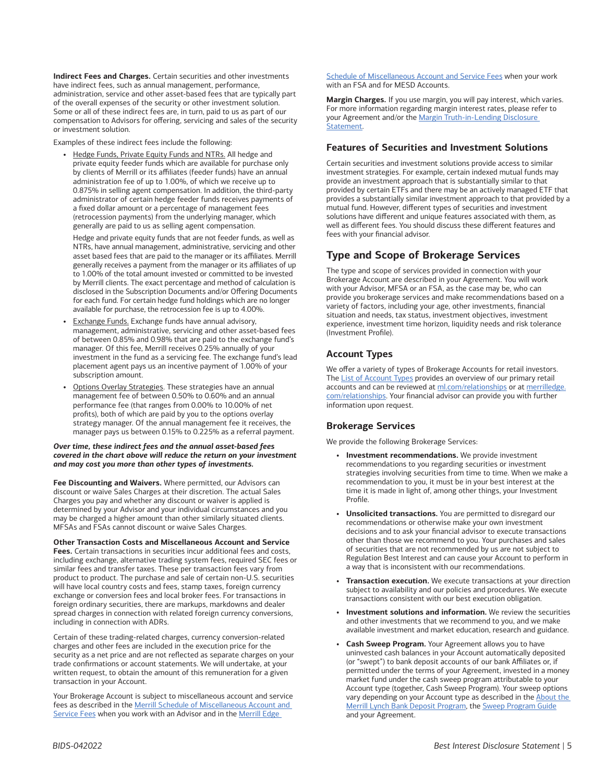**Indirect Fees and Charges.** Certain securities and other investments have indirect fees, such as annual management, performance, administration, service and other asset-based fees that are typically part of the overall expenses of the security or other investment solution. Some or all of these indirect fees are, in turn, paid to us as part of our compensation to Advisors for offering, servicing and sales of the security or investment solution.

Examples of these indirect fees include the following:

**•** Hedge Funds, Private Equity Funds and NTRs. All hedge and private equity feeder funds which are available for purchase only by clients of Merrill or its affiliates (feeder funds) have an annual administration fee of up to 1.00%, of which we receive up to 0.875% in selling agent compensation. In addition, the third-party administrator of certain hedge feeder funds receives payments of a fixed dollar amount or a percentage of management fees (retrocession payments) from the underlying manager, which generally are paid to us as selling agent compensation.

Hedge and private equity funds that are not feeder funds, as well as NTRs, have annual management, administrative, servicing and other asset based fees that are paid to the manager or its affiliates. Merrill generally receives a payment from the manager or its affiliates of up to 1.00% of the total amount invested or committed to be invested by Merrill clients. The exact percentage and method of calculation is disclosed in the Subscription Documents and/or Offering Documents for each fund. For certain hedge fund holdings which are no longer available for purchase, the retrocession fee is up to 4.00%.

- **•** Exchange Funds. Exchange funds have annual advisory, management, administrative, servicing and other asset-based fees of between 0.85% and 0.98% that are paid to the exchange fund's manager. Of this fee, Merrill receives 0.25% annually of your investment in the fund as a servicing fee. The exchange fund's lead placement agent pays us an incentive payment of 1.00% of your subscription amount.
- **•** Options Overlay Strategies. These strategies have an annual management fee of between 0.50% to 0.60% and an annual performance fee (that ranges from 0.00% to 10.00% of net profits), both of which are paid by you to the options overlay strategy manager. Of the annual management fee it receives, the manager pays us between 0.15% to 0.225% as a referral payment.

#### *Over time, these indirect fees and the annual asset-based fees covered in the chart above will reduce the return on your investment and may cost you more than other types of investments.*

**Fee Discounting and Waivers.** Where permitted, our Advisors can discount or waive Sales Charges at their discretion. The actual Sales Charges you pay and whether any discount or waiver is applied is determined by your Advisor and your individual circumstances and you may be charged a higher amount than other similarly situated clients. MFSAs and FSAs cannot discount or waive Sales Charges.

**Other Transaction Costs and Miscellaneous Account and Service Fees.** Certain transactions in securities incur additional fees and costs, including exchange, alternative trading system fees, required SEC fees or similar fees and transfer taxes. These per transaction fees vary from product to product. The purchase and sale of certain non-U.S. securities will have local country costs and fees, stamp taxes, foreign currency exchange or conversion fees and local broker fees. For transactions in foreign ordinary securities, there are markups, markdowns and dealer spread charges in connection with related foreign currency conversions, including in connection with ADRs.

Certain of these trading-related charges, currency conversion-related charges and other fees are included in the execution price for the security as a net price and are not reflected as separate charges on your trade confirmations or account statements. We will undertake, at your written request, to obtain the amount of this remuneration for a given transaction in your Account.

Your Brokerage Account is subject to miscellaneous account and service fees as described in the [Merrill Schedule of Miscellaneous Account and](https://www.ml.com/content/dam/ML/pdfs/ML_Web_Fee_Schedule.pdf)  [Service Fees](https://www.ml.com/content/dam/ML/pdfs/ML_Web_Fee_Schedule.pdf) when you work with an Advisor and in the Merrill Edge

[Schedule of Miscellaneous Account and Service Fees when your work](https://mlaem.fs.ml.com/content/dam/ML/pdfs/me-self-directed-fees.pdf)  [with an FSA and for MESD Accounts.](https://mlaem.fs.ml.com/content/dam/ML/pdfs/me-self-directed-fees.pdf)

**Margin Charges.** If you use margin, you will pay interest, which varies. For more information regarding margin interest rates, please refer to your Agreement and/or the [Margin Truth-in-Lending Disclosure](https://olui2.fs.ml.com/publish/content/application/pdf/GWMOL/Margin-lending-disclosure.pdf)  [Statement.](https://olui2.fs.ml.com/publish/content/application/pdf/GWMOL/Margin-lending-disclosure.pdf)

### **Features of Securities and Investment Solutions**

Certain securities and investment solutions provide access to similar investment strategies. For example, certain indexed mutual funds may provide an investment approach that is substantially similar to that provided by certain ETFs and there may be an actively managed ETF that provides a substantially similar investment approach to that provided by a mutual fund. However, different types of securities and investment solutions have different and unique features associated with them, as well as different fees. You should discuss these different features and fees with your financial advisor.

## **Type and Scope of Brokerage Services**

The type and scope of services provided in connection with your Brokerage Account are described in your Agreement. You will work with your Advisor, MFSA or an FSA, as the case may be, who can provide you brokerage services and make recommendations based on a variety of factors, including your age, other investments, financial situation and needs, tax status, investment objectives, investment experience, investment time horizon, liquidity needs and risk tolerance (Investment Profile).

## **Account Types**

We offer a variety of types of Brokerage Accounts for retail investors. The [List of Account Types](https://olui2.fs.ml.com/publish/content/application/pdf/GWMOL/Merrill-Account-Types.pdf) provides an overview of our primary retail accounts and can be reviewed at [ml.com/relationships](http://ml.com/relationships) or at [merrilledge.](http://www.merrilledge.com/relationships) [com/relationships.](http://www.merrilledge.com/relationships) Your financial advisor can provide you with further information upon request.

### **Brokerage Services**

We provide the following Brokerage Services:

- **• Investment recommendations.** We provide investment recommendations to you regarding securities or investment strategies involving securities from time to time. When we make a recommendation to you, it must be in your best interest at the time it is made in light of, among other things, your Investment Profile.
- **• Unsolicited transactions.** You are permitted to disregard our recommendations or otherwise make your own investment decisions and to ask your financial advisor to execute transactions other than those we recommend to you. Your purchases and sales of securities that are not recommended by us are not subject to Regulation Best Interest and can cause your Account to perform in a way that is inconsistent with our recommendations.
- **• Transaction execution.** We execute transactions at your direction subject to availability and our policies and procedures. We execute transactions consistent with our best execution obligation.
- **• Investment solutions and information.** We review the securities and other investments that we recommend to you, and we make available investment and market education, research and guidance.
- **• Cash Sweep Program.** Your Agreement allows you to have uninvested cash balances in your Account automatically deposited (or "swept") to bank deposit accounts of our bank Affiliates or, if permitted under the terms of your Agreement, invested in a money market fund under the cash sweep program attributable to your Account type (together, Cash Sweep Program). Your sweep options vary depending on your Account type as described in the **About the** [Merrill Lynch Bank Deposit Program,](https://olui2.fs.ml.com/publish/content/application/pdf/GWMOL/ML-Bank-Deposit.pdf) the [Sweep Program Guide](https://olui2.fs.ml.com/publish/content/application/pdf/GWMOL/Sweep-Program.pdf) and your Agreement.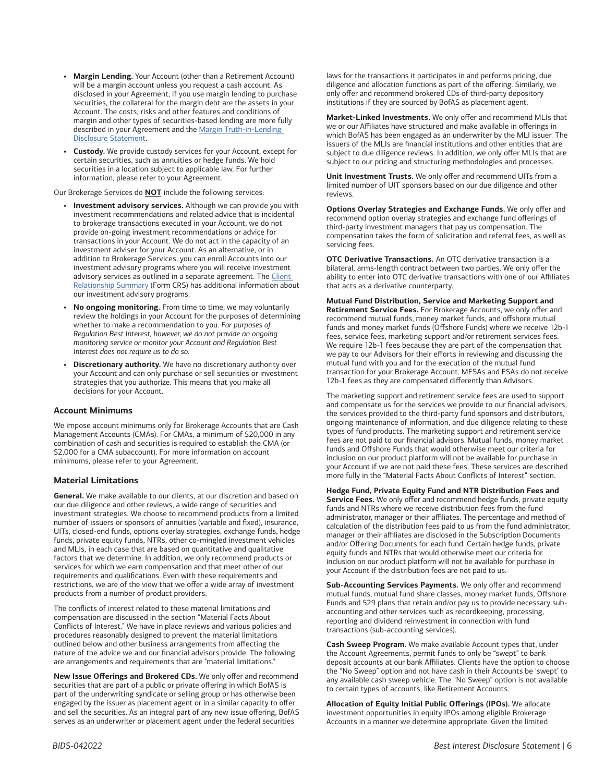- **• Margin Lending.** Your Account (other than a Retirement Account) will be a margin account unless you request a cash account. As disclosed in your Agreement, if you use margin lending to purchase securities, the collateral for the margin debt are the assets in your Account. The costs, risks and other features and conditions of margin and other types of securities-based lending are more fully described in your Agreement and the [Margin Truth-in-Lending](https://olui2.fs.ml.com/publish/content/application/pdf/GWMOL/Margin-lending-disclosure.pdf)  [Disclosure Statement](https://olui2.fs.ml.com/publish/content/application/pdf/GWMOL/Margin-lending-disclosure.pdf).
- **• Custody.** We provide custody services for your Account, except for certain securities, such as annuities or hedge funds. We hold securities in a location subject to applicable law. For further information, please refer to your Agreement.

Our Brokerage Services do **NOT** include the following services:

- **• Investment advisory services.** Although we can provide you with investment recommendations and related advice that is incidental to brokerage transactions executed in your Account, we do not provide on-going investment recommendations or advice for transactions in your Account. We do not act in the capacity of an investment adviser for your Account. As an alternative, or in addition to Brokerage Services, you can enroll Accounts into our investment advisory programs where you will receive investment advisory services as outlined in a separate agreement. The [Client](https://olui2.fs.ml.com/publish/content/application/pdf/GWMOL/Client_Relationship_Summary_CRS.pdf)  [Relationship Summary](https://olui2.fs.ml.com/publish/content/application/pdf/GWMOL/Client_Relationship_Summary_CRS.pdf) (Form CRS) has additional information about our investment advisory programs.
- **• No ongoing monitoring.** From time to time, we may voluntarily review the holdings in your Account for the purposes of determining whether to make a recommendation to you. *For purposes of Regulation Best Interest, however, we do not provide an ongoing monitoring service or monitor your Account and Regulation Best Interest does not require us to do so*.
- **• Discretionary authority.** We have no discretionary authority over your Account and can only purchase or sell securities or investment strategies that you authorize. This means that you make all decisions for your Account.

#### **Account Minimums**

We impose account minimums only for Brokerage Accounts that are Cash Management Accounts (CMAs). For CMAs, a minimum of \$20,000 in any combination of cash and securities is required to establish the CMA (or \$2,000 for a CMA subaccount). For more information on account minimums, please refer to your Agreement.

#### **Material Limitations**

**General.** We make available to our clients, at our discretion and based on our due diligence and other reviews, a wide range of securities and investment strategies. We choose to recommend products from a limited number of issuers or sponsors of annuities (variable and fixed), insurance, UITs, closed-end funds, options overlay strategies, exchange funds, hedge funds, private equity funds, NTRs, other co-mingled investment vehicles and MLIs, in each case that are based on quantitative and qualitative factors that we determine. In addition, we only recommend products or services for which we earn compensation and that meet other of our requirements and qualifications. Even with these requirements and restrictions, we are of the view that we offer a wide array of investment products from a number of product providers.

The conflicts of interest related to these material limitations and compensation are discussed in the section "Material Facts About Conflicts of Interest." We have in place reviews and various policies and procedures reasonably designed to prevent the material limitations outlined below and other business arrangements from affecting the nature of the advice we and our financial advisors provide. The following are arrangements and requirements that are "material limitations."

**New Issue Offerings and Brokered CDs.** We only offer and recommend securities that are part of a public or private offering in which BofAS is part of the underwriting syndicate or selling group or has otherwise been engaged by the issuer as placement agent or in a similar capacity to offer and sell the securities. As an integral part of any new issue offering, BofAS serves as an underwriter or placement agent under the federal securities

laws for the transactions it participates in and performs pricing, due diligence and allocation functions as part of the offering. Similarly, we only offer and recommend brokered CDs of third-party depository institutions if they are sourced by BofAS as placement agent.

**Market-Linked Investments.** We only offer and recommend MLIs that we or our Affiliates have structured and make available in offerings in which BofAS has been engaged as an underwriter by the MLI issuer. The issuers of the MLIs are financial institutions and other entities that are subject to due diligence reviews. In addition, we only offer MLIs that are subject to our pricing and structuring methodologies and processes.

**Unit Investment Trusts.** We only offer and recommend UITs from a limited number of UIT sponsors based on our due diligence and other reviews.

**Options Overlay Strategies and Exchange Funds.** We only offer and recommend option overlay strategies and exchange fund offerings of third-party investment managers that pay us compensation. The compensation takes the form of solicitation and referral fees, as well as servicing fees.

**OTC Derivative Transactions.** An OTC derivative transaction is a bilateral, arms-length contract between two parties. We only offer the ability to enter into OTC derivative transactions with one of our Affiliates that acts as a derivative counterparty.

**Mutual Fund Distribution, Service and Marketing Support and Retirement Service Fees.** For Brokerage Accounts, we only offer and recommend mutual funds, money market funds, and offshore mutual funds and money market funds (Offshore Funds) where we receive 12b-1 fees, service fees, marketing support and/or retirement services fees. We require 12b-1 fees because they are part of the compensation that we pay to our Advisors for their efforts in reviewing and discussing the mutual fund with you and for the execution of the mutual fund transaction for your Brokerage Account. MFSAs and FSAs do not receive 12b-1 fees as they are compensated differently than Advisors.

The marketing support and retirement service fees are used to support and compensate us for the services we provide to our financial advisors, the services provided to the third-party fund sponsors and distributors, ongoing maintenance of information, and due diligence relating to these types of fund products. The marketing support and retirement service fees are not paid to our financial advisors. Mutual funds, money market funds and Offshore Funds that would otherwise meet our criteria for inclusion on our product platform will not be available for purchase in your Account if we are not paid these fees. These services are described more fully in the "Material Facts About Conflicts of Interest" section.

**Hedge Fund, Private Equity Fund and NTR Distribution Fees and Service Fees.** We only offer and recommend hedge funds, private equity funds and NTRs where we receive distribution fees from the fund administrator, manager or their affiliates. The percentage and method of calculation of the distribution fees paid to us from the fund administrator, manager or their affiliates are disclosed in the Subscription Documents and/or Offering Documents for each fund. Certain hedge funds, private equity funds and NTRs that would otherwise meet our criteria for inclusion on our product platform will not be available for purchase in your Account if the distribution fees are not paid to us.

**Sub-Accounting Services Payments.** We only offer and recommend mutual funds, mutual fund share classes, money market funds, Offshore Funds and 529 plans that retain and/or pay us to provide necessary subaccounting and other services such as recordkeeping, processing, reporting and dividend reinvestment in connection with fund transactions (sub-accounting services).

**Cash Sweep Program.** We make available Account types that, under the Account Agreements, permit funds to only be "swept" to bank deposit accounts at our bank Affiliates. Clients have the option to choose the "No Sweep" option and not have cash in their Accounts be 'swept' to any available cash sweep vehicle. The "No Sweep" option is not available to certain types of accounts, like Retirement Accounts.

**Allocation of Equity Initial Public Offerings (IPOs).** We allocate investment opportunities in equity IPOs among eligible Brokerage Accounts in a manner we determine appropriate. Given the limited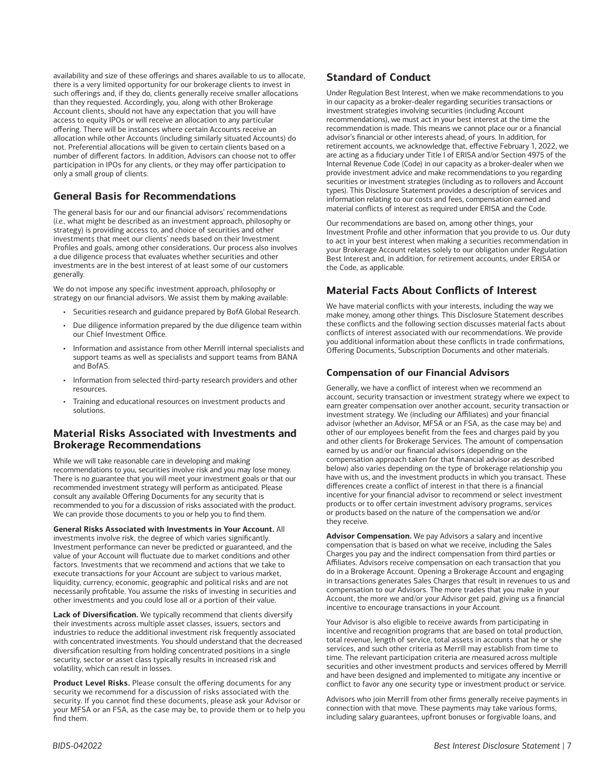availability and size of these offerings and shares available to us to allocate, there is a very limited opportunity for our brokerage clients to invest in such offerings and, if they do, clients generally receive smaller allocations than they requested. Accordingly, you, along with other Brokerage Account clients, should not have any expectation that you will have access to equity IPOs or will receive an allocation to any particular offering. There will be instances where certain Accounts receive an allocation while other Accounts (including similarly situated Accounts) do not. Preferential allocations will be given to certain clients based on a number of different factors. In addition, Advisors can choose not to offer participation in IPOs for any clients, or they may offer participation to only a small group of clients.

## **General Basis for Recommendations**

The general basis for our and our financial advisors' recommendations (*i.e.,* what might be described as an investment approach, philosophy or strategy) is providing access to, and choice of securities and other investments that meet our clients' needs based on their Investment Profiles and goals, among other considerations. Our process also involves a due diligence process that evaluates whether securities and other investments are in the best interest of at least some of our customers generally.

We do not impose any specific investment approach, philosophy or strategy on our financial advisors. We assist them by making available:

- Securities research and guidance prepared by BofA Global Research.
- Due diligence information prepared by the due diligence team within our Chief Investment Office.
- Information and assistance from other Merrill internal specialists and support teams as well as specialists and support teams from BANA and BofAS.
- Information from selected third-party research providers and other resources.
- Training and educational resources on investment products and solutions.

## **Material Risks Associated with Investments and Brokerage Recommendations**

While we will take reasonable care in developing and making recommendations to you, securities involve risk and you may lose money. There is no guarantee that you will meet your investment goals or that our recommended investment strategy will perform as anticipated. Please consult any available Offering Documents for any security that is recommended to you for a discussion of risks associated with the product. We can provide those documents to you or help you to find them.

**General Risks Associated with Investments in Your Account.** All investments involve risk, the degree of which varies significantly. Investment performance can never be predicted or guaranteed, and the value of your Account will fluctuate due to market conditions and other factors. Investments that we recommend and actions that we take to execute transactions for your Account are subject to various market, liquidity, currency, economic, geographic and political risks and are not necessarily profitable. You assume the risks of investing in securities and other investments and you could lose all or a portion of their value.

**Lack of Diversification.** We typically recommend that clients diversify their investments across multiple asset classes, issuers, sectors and industries to reduce the additional investment risk frequently associated with concentrated investments. You should understand that the decreased diversification resulting from holding concentrated positions in a single security, sector or asset class typically results in increased risk and volatility, which can result in losses.

**Product Level Risks.** Please consult the offering documents for any security we recommend for a discussion of risks associated with the security. If you cannot find these documents, please ask your Advisor or your MFSA or an FSA, as the case may be, to provide them or to help you find them.

## **Standard of Conduct**

Under Regulation Best Interest, when we make recommendations to you in our capacity as a broker-dealer regarding securities transactions or investment strategies involving securities (including Account recommendations), we must act in your best interest at the time the recommendation is made. This means we cannot place our or a financial advisor's financial or other interests ahead, of yours. In addition, for retirement accounts, we acknowledge that, effective February 1, 2022, we are acting as a fiduciary under Title I of ERISA and/or Section 4975 of the Internal Revenue Code (Code) in our capacity as a broker-dealer when we provide investment advice and make recommendations to you regarding securities or investment strategies (including as to rollovers and Account types). This Disclosure Statement provides a description of services and information relating to our costs and fees, compensation earned and material conflicts of interest as required under ERISA and the Code.

Our recommendations are based on, among other things, your Investment Profile and other information that you provide to us. Our duty to act in your best interest when making a securities recommendation in your Brokerage Account relates solely to our obligation under Regulation Best Interest and, in addition, for retirement accounts, under ERISA or the Code, as applicable.

## **Material Facts About Conflicts of Interest**

We have material conflicts with your interests, including the way we make money, among other things. This Disclosure Statement describes these conflicts and the following section discusses material facts about conflicts of interest associated with our recommendations. We provide you additional information about these conflicts in trade confirmations, Offering Documents, Subscription Documents and other materials.

## **Compensation of our Financial Advisors**

Generally, we have a conflict of interest when we recommend an account, security transaction or investment strategy where we expect to earn greater compensation over another account, security transaction or investment strategy. We (including our Affiliates) and your financial advisor (whether an Advisor, MFSA or an FSA, as the case may be) and other of our employees benefit from the fees and charges paid by you and other clients for Brokerage Services. The amount of compensation earned by us and/or our financial advisors (depending on the compensation approach taken for that financial advisor as described below) also varies depending on the type of brokerage relationship you have with us, and the investment products in which you transact. These differences create a conflict of interest in that there is a financial incentive for your financial advisor to recommend or select investment products or to offer certain investment advisory programs, services or products based on the nature of the compensation we and/or they receive.

**Advisor Compensation.** We pay Advisors a salary and incentive compensation that is based on what we receive, including the Sales Charges you pay and the indirect compensation from third parties or Affiliates. Advisors receive compensation on each transaction that you do in a Brokerage Account. Opening a Brokerage Account and engaging in transactions generates Sales Charges that result in revenues to us and compensation to our Advisors. The more trades that you make in your Account, the more we and/or your Advisor get paid, giving us a financial incentive to encourage transactions in your Account.

Your Advisor is also eligible to receive awards from participating in incentive and recognition programs that are based on total production, total revenue, length of service, total assets in accounts that he or she services, and such other criteria as Merrill may establish from time to time. The relevant participation criteria are measured across multiple securities and other investment products and services offered by Merrill and have been designed and implemented to mitigate any incentive or conflict to favor any one security type or investment product or service.

Advisors who join Merrill from other firms generally receive payments in connection with that move. These payments may take various forms, including salary guarantees, upfront bonuses or forgivable loans, and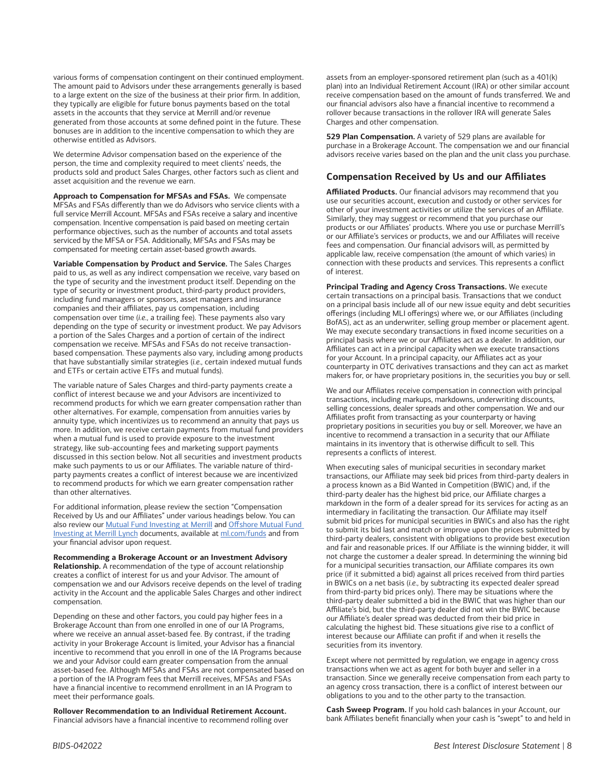various forms of compensation contingent on their continued employment. The amount paid to Advisors under these arrangements generally is based to a large extent on the size of the business at their prior firm. In addition, they typically are eligible for future bonus payments based on the total assets in the accounts that they service at Merrill and/or revenue generated from those accounts at some defined point in the future. These bonuses are in addition to the incentive compensation to which they are otherwise entitled as Advisors.

We determine Advisor compensation based on the experience of the person, the time and complexity required to meet clients' needs, the products sold and product Sales Charges, other factors such as client and asset acquisition and the revenue we earn.

**Approach to Compensation for MFSAs and FSAs.** We compensate MFSAs and FSAs differently than we do Advisors who service clients with a full service Merrill Account. MFSAs and FSAs receive a salary and incentive compensation. Incentive compensation is paid based on meeting certain performance objectives, such as the number of accounts and total assets serviced by the MFSA or FSA. Additionally, MFSAs and FSAs may be compensated for meeting certain asset-based growth awards.

**Variable Compensation by Product and Service.** The Sales Charges paid to us, as well as any indirect compensation we receive, vary based on the type of security and the investment product itself. Depending on the type of security or investment product, third-party product providers, including fund managers or sponsors, asset managers and insurance companies and their affiliates, pay us compensation, including compensation over time (*i.e.,* a trailing fee). These payments also vary depending on the type of security or investment product. We pay Advisors a portion of the Sales Charges and a portion of certain of the indirect compensation we receive. MFSAs and FSAs do not receive transactionbased compensation. These payments also vary, including among products that have substantially similar strategies (*i.e.,* certain indexed mutual funds and ETFs or certain active ETFs and mutual funds).

The variable nature of Sales Charges and third-party payments create a conflict of interest because we and your Advisors are incentivized to recommend products for which we earn greater compensation rather than other alternatives. For example, compensation from annuities varies by annuity type, which incentivizes us to recommend an annuity that pays us more. In addition, we receive certain payments from mutual fund providers when a mutual fund is used to provide exposure to the investment strategy, like sub-accounting fees and marketing support payments discussed in this section below. Not all securities and investment products make such payments to us or our Affiliates. The variable nature of thirdparty payments creates a conflict of interest because we are incentivized to recommend products for which we earn greater compensation rather than other alternatives.

For additional information, please review the section "Compensation Received by Us and our Affiliates" under various headings below. You can also review our **Mutual Fund Investing at Merrill and Offshore Mutual Fund** [Investing at Merrill Lynch](https://www.mymerrill.com/Publish/Content/application/pdf/GWMOL/ml-offshore-investing-brochure.pdf) documents, available at [ml.com/funds](http://ml.com/funds) and from your financial advisor upon request.

**Recommending a Brokerage Account or an Investment Advisory Relationship.** A recommendation of the type of account relationship creates a conflict of interest for us and your Advisor. The amount of compensation we and our Advisors receive depends on the level of trading activity in the Account and the applicable Sales Charges and other indirect compensation.

Depending on these and other factors, you could pay higher fees in a Brokerage Account than from one enrolled in one of our IA Programs, where we receive an annual asset-based fee. By contrast, if the trading activity in your Brokerage Account is limited, your Advisor has a financial incentive to recommend that you enroll in one of the IA Programs because we and your Advisor could earn greater compensation from the annual asset-based fee. Although MFSAs and FSAs are not compensated based on a portion of the IA Program fees that Merrill receives, MFSAs and FSAs have a financial incentive to recommend enrollment in an IA Program to meet their performance goals.

**Rollover Recommendation to an Individual Retirement Account.** Financial advisors have a financial incentive to recommend rolling over assets from an employer-sponsored retirement plan (such as a 401(k) plan) into an Individual Retirement Account (IRA) or other similar account receive compensation based on the amount of funds transferred. We and our financial advisors also have a financial incentive to recommend a rollover because transactions in the rollover IRA will generate Sales Charges and other compensation.

**529 Plan Compensation.** A variety of 529 plans are available for purchase in a Brokerage Account. The compensation we and our financial advisors receive varies based on the plan and the unit class you purchase.

## **Compensation Received by Us and our Affiliates**

**Affiliated Products.** Our financial advisors may recommend that you use our securities account, execution and custody or other services for other of your investment activities or utilize the services of an Affiliate. Similarly, they may suggest or recommend that you purchase our products or our Affiliates' products. Where you use or purchase Merrill's or our Affiliate's services or products, we and our Affiliates will receive fees and compensation. Our financial advisors will, as permitted by applicable law, receive compensation (the amount of which varies) in connection with these products and services. This represents a conflict of interest.

**Principal Trading and Agency Cross Transactions.** We execute certain transactions on a principal basis. Transactions that we conduct on a principal basis include all of our new issue equity and debt securities offerings (including MLI offerings) where we, or our Affiliates (including BofAS), act as an underwriter, selling group member or placement agent. We may execute secondary transactions in fixed income securities on a principal basis where we or our Affiliates act as a dealer. In addition, our Affiliates can act in a principal capacity when we execute transactions for your Account. In a principal capacity, our Affiliates act as your counterparty in OTC derivatives transactions and they can act as market makers for, or have proprietary positions in, the securities you buy or sell.

We and our Affiliates receive compensation in connection with principal transactions, including markups, markdowns, underwriting discounts, selling concessions, dealer spreads and other compensation. We and our Affiliates profit from transacting as your counterparty or having proprietary positions in securities you buy or sell. Moreover, we have an incentive to recommend a transaction in a security that our Affiliate maintains in its inventory that is otherwise difficult to sell. This represents a conflicts of interest.

When executing sales of municipal securities in secondary market transactions, our Affiliate may seek bid prices from third-party dealers in a process known as a Bid Wanted in Competition (BWIC) and, if the third-party dealer has the highest bid price, our Affiliate charges a markdown in the form of a dealer spread for its services for acting as an intermediary in facilitating the transaction. Our Affiliate may itself submit bid prices for municipal securities in BWICs and also has the right to submit its bid last and match or improve upon the prices submitted by third-party dealers, consistent with obligations to provide best execution and fair and reasonable prices. If our Affiliate is the winning bidder, it will not charge the customer a dealer spread. In determining the winning bid for a municipal securities transaction, our Affiliate compares its own price (if it submitted a bid) against all prices received from third parties in BWICs on a net basis (*i.e.,* by subtracting its expected dealer spread from third-party bid prices only). There may be situations where the third-party dealer submitted a bid in the BWIC that was higher than our Affiliate's bid, but the third-party dealer did not win the BWIC because our Affiliate's dealer spread was deducted from their bid price in calculating the highest bid. These situations give rise to a conflict of interest because our Affiliate can profit if and when it resells the securities from its inventory.

Except where not permitted by regulation, we engage in agency cross transactions when we act as agent for both buyer and seller in a transaction. Since we generally receive compensation from each party to an agency cross transaction, there is a conflict of interest between our obligations to you and to the other party to the transaction.

**Cash Sweep Program.** If you hold cash balances in your Account, our bank Affiliates benefit financially when your cash is "swept" to and held in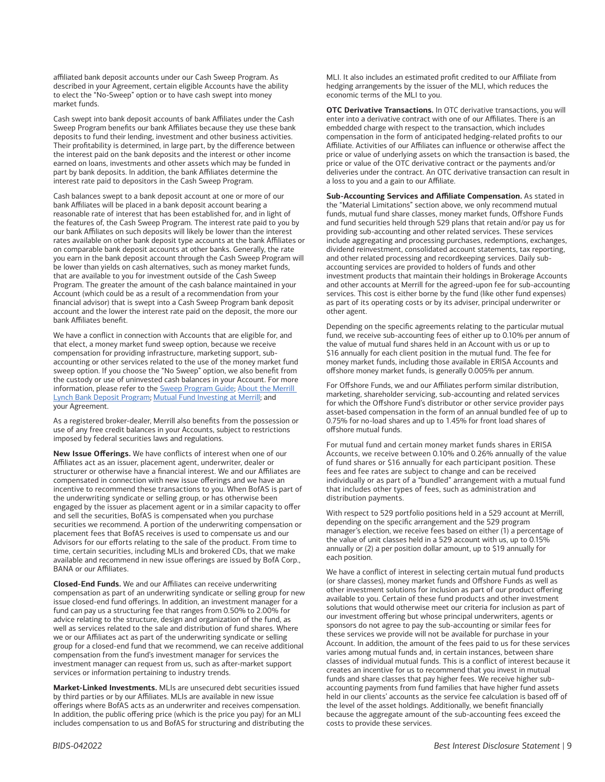affiliated bank deposit accounts under our Cash Sweep Program. As described in your Agreement, certain eligible Accounts have the ability to elect the "No-Sweep" option or to have cash swept into money market funds.

Cash swept into bank deposit accounts of bank Affiliates under the Cash Sweep Program benefits our bank Affiliates because they use these bank deposits to fund their lending, investment and other business activities. Their profitability is determined, in large part, by the difference between the interest paid on the bank deposits and the interest or other income earned on loans, investments and other assets which may be funded in part by bank deposits. In addition, the bank Affiliates determine the interest rate paid to depositors in the Cash Sweep Program.

Cash balances swept to a bank deposit account at one or more of our bank Affiliates will be placed in a bank deposit account bearing a reasonable rate of interest that has been established for, and in light of the features of, the Cash Sweep Program. The interest rate paid to you by our bank Affiliates on such deposits will likely be lower than the interest rates available on other bank deposit type accounts at the bank Affiliates or on comparable bank deposit accounts at other banks. Generally, the rate you earn in the bank deposit account through the Cash Sweep Program will be lower than yields on cash alternatives, such as money market funds, that are available to you for investment outside of the Cash Sweep Program. The greater the amount of the cash balance maintained in your Account (which could be as a result of a recommendation from your financial advisor) that is swept into a Cash Sweep Program bank deposit account and the lower the interest rate paid on the deposit, the more our bank Affiliates benefit.

We have a conflict in connection with Accounts that are eligible for, and that elect, a money market fund sweep option, because we receive compensation for providing infrastructure, marketing support, subaccounting or other services related to the use of the money market fund sweep option. If you choose the "No Sweep" option, we also benefit from the custody or use of uninvested cash balances in your Account. For more information, please refer to the [Sweep Program Guide;](https://olui2.fs.ml.com/publish/content/application/pdf/GWMOL/Sweep-Program.pdf) [About the Merrill](https://olui2.fs.ml.com/publish/content/application/pdf/GWMOL/ML-Bank-Deposit.pdf)  [Lynch Bank Deposit Program;](https://olui2.fs.ml.com/publish/content/application/pdf/GWMOL/ML-Bank-Deposit.pdf) [Mutual Fund Investing at Merrill](https://olui2.fs.ml.com/Publish/Content/application/pdf/GWMOL/MutualFundDisclosureDocument.pdf); and your Agreement.

As a registered broker-dealer, Merrill also benefits from the possession or use of any free credit balances in your Accounts, subject to restrictions imposed by federal securities laws and regulations.

**New Issue Offerings.** We have conflicts of interest when one of our Affiliates act as an issuer, placement agent, underwriter, dealer or structurer or otherwise have a financial interest. We and our Affiliates are compensated in connection with new issue offerings and we have an incentive to recommend these transactions to you. When BofAS is part of the underwriting syndicate or selling group, or has otherwise been engaged by the issuer as placement agent or in a similar capacity to offer and sell the securities, BofAS is compensated when you purchase securities we recommend. A portion of the underwriting compensation or placement fees that BofAS receives is used to compensate us and our Advisors for our efforts relating to the sale of the product. From time to time, certain securities, including MLIs and brokered CDs, that we make available and recommend in new issue offerings are issued by BofA Corp., BANA or our Affiliates.

**Closed-End Funds.** We and our Affiliates can receive underwriting compensation as part of an underwriting syndicate or selling group for new issue closed-end fund offerings. In addition, an investment manager for a fund can pay us a structuring fee that ranges from 0.50% to 2.00% for advice relating to the structure, design and organization of the fund, as well as services related to the sale and distribution of fund shares. Where we or our Affiliates act as part of the underwriting syndicate or selling group for a closed-end fund that we recommend, we can receive additional compensation from the fund's investment manager for services the investment manager can request from us, such as after-market support services or information pertaining to industry trends.

**Market-Linked Investments.** MLIs are unsecured debt securities issued by third parties or by our Affiliates. MLIs are available in new issue offerings where BofAS acts as an underwriter and receives compensation. In addition, the public offering price (which is the price you pay) for an MLI includes compensation to us and BofAS for structuring and distributing the MLI. It also includes an estimated profit credited to our Affiliate from hedging arrangements by the issuer of the MLI, which reduces the economic terms of the MLI to you.

**OTC Derivative Transactions.** In OTC derivative transactions, you will enter into a derivative contract with one of our Affiliates. There is an embedded charge with respect to the transaction, which includes compensation in the form of anticipated hedging-related profits to our Affiliate. Activities of our Affiliates can influence or otherwise affect the price or value of underlying assets on which the transaction is based, the price or value of the OTC derivative contract or the payments and/or deliveries under the contract. An OTC derivative transaction can result in a loss to you and a gain to our Affiliate.

**Sub-Accounting Services and Affiliate Compensation.** As stated in the "Material Limitations" section above, we only recommend mutual funds, mutual fund share classes, money market funds, Offshore Funds and fund securities held through 529 plans that retain and/or pay us for providing sub-accounting and other related services. These services include aggregating and processing purchases, redemptions, exchanges, dividend reinvestment, consolidated account statements, tax reporting, and other related processing and recordkeeping services. Daily subaccounting services are provided to holders of funds and other investment products that maintain their holdings in Brokerage Accounts and other accounts at Merrill for the agreed-upon fee for sub-accounting services. This cost is either borne by the fund (like other fund expenses) as part of its operating costs or by its adviser, principal underwriter or other agent.

Depending on the specific agreements relating to the particular mutual fund, we receive sub-accounting fees of either up to 0.10% per annum of the value of mutual fund shares held in an Account with us or up to \$16 annually for each client position in the mutual fund. The fee for money market funds, including those available in ERISA Accounts and offshore money market funds, is generally 0.005% per annum.

For Offshore Funds, we and our Affiliates perform similar distribution, marketing, shareholder servicing, sub-accounting and related services for which the Offshore Fund's distributor or other service provider pays asset-based compensation in the form of an annual bundled fee of up to 0.75% for no-load shares and up to 1.45% for front load shares of offshore mutual funds.

For mutual fund and certain money market funds shares in ERISA Accounts, we receive between 0.10% and 0.26% annually of the value of fund shares or \$16 annually for each participant position. These fees and fee rates are subject to change and can be received individually or as part of a "bundled" arrangement with a mutual fund that includes other types of fees, such as administration and distribution payments.

With respect to 529 portfolio positions held in a 529 account at Merrill, depending on the specific arrangement and the 529 program manager's election, we receive fees based on either (1) a percentage of the value of unit classes held in a 529 account with us, up to 0.15% annually or (2) a per position dollar amount, up to \$19 annually for each position.

We have a conflict of interest in selecting certain mutual fund products (or share classes), money market funds and Offshore Funds as well as other investment solutions for inclusion as part of our product offering available to you. Certain of these fund products and other investment solutions that would otherwise meet our criteria for inclusion as part of our investment offering but whose principal underwriters, agents or sponsors do not agree to pay the sub-accounting or similar fees for these services we provide will not be available for purchase in your Account. In addition, the amount of the fees paid to us for these services varies among mutual funds and, in certain instances, between share classes of individual mutual funds. This is a conflict of interest because it creates an incentive for us to recommend that you invest in mutual funds and share classes that pay higher fees. We receive higher subaccounting payments from fund families that have higher fund assets held in our clients' accounts as the service fee calculation is based off of the level of the asset holdings. Additionally, we benefit financially because the aggregate amount of the sub-accounting fees exceed the costs to provide these services.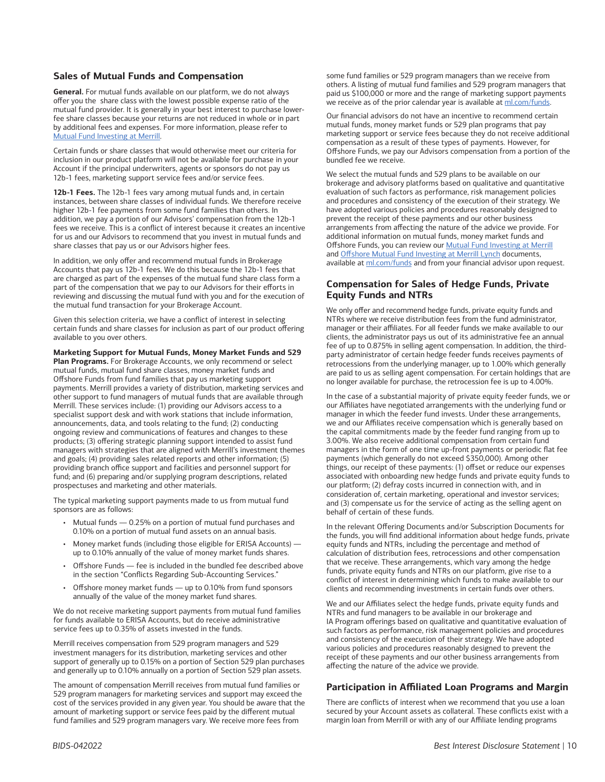#### **Sales of Mutual Funds and Compensation**

**General.** For mutual funds available on our platform, we do not always offer you the share class with the lowest possible expense ratio of the mutual fund provider. It is generally in your best interest to purchase lowerfee share classes because your returns are not reduced in whole or in part by additional fees and expenses. For more information, please refer to [Mutual Fund Investing at Merrill](https://olui2.fs.ml.com/Publish/Content/application/pdf/GWMOL/MutualFundDisclosureDocument.pdf).

Certain funds or share classes that would otherwise meet our criteria for inclusion in our product platform will not be available for purchase in your Account if the principal underwriters, agents or sponsors do not pay us 12b-1 fees, marketing support service fees and/or service fees.

**12b-1 Fees.** The 12b-1 fees vary among mutual funds and, in certain instances, between share classes of individual funds. We therefore receive higher 12b-1 fee payments from some fund families than others. In addition, we pay a portion of our Advisors' compensation from the 12b-1 fees we receive. This is a conflict of interest because it creates an incentive for us and our Advisors to recommend that you invest in mutual funds and share classes that pay us or our Advisors higher fees.

In addition, we only offer and recommend mutual funds in Brokerage Accounts that pay us 12b-1 fees. We do this because the 12b-1 fees that are charged as part of the expenses of the mutual fund share class form a part of the compensation that we pay to our Advisors for their efforts in reviewing and discussing the mutual fund with you and for the execution of the mutual fund transaction for your Brokerage Account.

Given this selection criteria, we have a conflict of interest in selecting certain funds and share classes for inclusion as part of our product offering available to you over others.

**Marketing Support for Mutual Funds, Money Market Funds and 529** 

**Plan Programs.** For Brokerage Accounts, we only recommend or select mutual funds, mutual fund share classes, money market funds and Offshore Funds from fund families that pay us marketing support payments. Merrill provides a variety of distribution, marketing services and other support to fund managers of mutual funds that are available through Merrill. These services include: (1) providing our Advisors access to a specialist support desk and with work stations that include information, announcements, data, and tools relating to the fund; (2) conducting ongoing review and communications of features and changes to these products; (3) offering strategic planning support intended to assist fund managers with strategies that are aligned with Merrill's investment themes and goals; (4) providing sales related reports and other information; (5) providing branch office support and facilities and personnel support for fund; and (6) preparing and/or supplying program descriptions, related prospectuses and marketing and other materials.

The typical marketing support payments made to us from mutual fund sponsors are as follows:

- Mutual funds 0.25% on a portion of mutual fund purchases and 0.10% on a portion of mutual fund assets on an annual basis.
- Money market funds (including those eligible for ERISA Accounts) up to 0.10% annually of the value of money market funds shares.
- Offshore Funds fee is included in the bundled fee described above in the section "Conflicts Regarding Sub-Accounting Services."
- Offshore money market funds up to 0.10% from fund sponsors annually of the value of the money market fund shares.

We do not receive marketing support payments from mutual fund families for funds available to ERISA Accounts, but do receive administrative service fees up to 0.35% of assets invested in the funds.

Merrill receives compensation from 529 program managers and 529 investment managers for its distribution, marketing services and other support of generally up to 0.15% on a portion of Section 529 plan purchases and generally up to 0.10% annually on a portion of Section 529 plan assets.

The amount of compensation Merrill receives from mutual fund families or 529 program managers for marketing services and support may exceed the cost of the services provided in any given year. You should be aware that the amount of marketing support or service fees paid by the different mutual fund families and 529 program managers vary. We receive more fees from

some fund families or 529 program managers than we receive from others. A listing of mutual fund families and 529 program managers that paid us \$100,000 or more and the range of marketing support payments we receive as of the prior calendar year is available at [ml.com/funds.](https://www.mymerrill.com/sve/pages/articleviewer.aspx?content_id=mutual-fund-disclosure-redirects)

Our financial advisors do not have an incentive to recommend certain mutual funds, money market funds or 529 plan programs that pay marketing support or service fees because they do not receive additional compensation as a result of these types of payments. However, for Offshore Funds, we pay our Advisors compensation from a portion of the bundled fee we receive.

We select the mutual funds and 529 plans to be available on our brokerage and advisory platforms based on qualitative and quantitative evaluation of such factors as performance, risk management policies and procedures and consistency of the execution of their strategy. We have adopted various policies and procedures reasonably designed to prevent the receipt of these payments and our other business arrangements from affecting the nature of the advice we provide. For additional information on mutual funds, money market funds and Offshore Funds, you can review our [Mutual Fund Investing at Merrill](https://olui2.fs.ml.com/Publish/Content/application/pdf/GWMOL/MutualFundDisclosureDocument.pdf) and [Offshore Mutual Fund Investing at Merrill Lynch](https://www.mymerrill.com/Publish/Content/application/pdf/GWMOL/ml-offshore-investing-brochure.pdf) documents, available at [ml.com/funds](http://ml.com/funds) and from your financial advisor upon request.

## **Compensation for Sales of Hedge Funds, Private Equity Funds and NTRs**

We only offer and recommend hedge funds, private equity funds and NTRs where we receive distribution fees from the fund administrator, manager or their affiliates. For all feeder funds we make available to our clients, the administrator pays us out of its administrative fee an annual fee of up to 0.875% in selling agent compensation. In addition, the thirdparty administrator of certain hedge feeder funds receives payments of retrocessions from the underlying manager, up to 1.00% which generally are paid to us as selling agent compensation. For certain holdings that are no longer available for purchase, the retrocession fee is up to 4.00%.

In the case of a substantial majority of private equity feeder funds, we or our Affiliates have negotiated arrangements with the underlying fund or manager in which the feeder fund invests. Under these arrangements, we and our Affiliates receive compensation which is generally based on the capital commitments made by the feeder fund ranging from up to 3.00%. We also receive additional compensation from certain fund managers in the form of one time up-front payments or periodic flat fee payments (which generally do not exceed \$350,000). Among other things, our receipt of these payments: (1) offset or reduce our expenses associated with onboarding new hedge funds and private equity funds to our platform; (2) defray costs incurred in connection with, and in consideration of, certain marketing, operational and investor services; and (3) compensate us for the service of acting as the selling agent on behalf of certain of these funds.

In the relevant Offering Documents and/or Subscription Documents for the funds, you will find additional information about hedge funds, private equity funds and NTRs, including the percentage and method of calculation of distribution fees, retrocessions and other compensation that we receive. These arrangements, which vary among the hedge funds, private equity funds and NTRs on our platform, give rise to a conflict of interest in determining which funds to make available to our clients and recommending investments in certain funds over others.

We and our Affiliates select the hedge funds, private equity funds and NTRs and fund managers to be available in our brokerage and IA Program offerings based on qualitative and quantitative evaluation of such factors as performance, risk management policies and procedures and consistency of the execution of their strategy. We have adopted various policies and procedures reasonably designed to prevent the receipt of these payments and our other business arrangements from affecting the nature of the advice we provide.

### **Participation in Affiliated Loan Programs and Margin**

There are conflicts of interest when we recommend that you use a loan secured by your Account assets as collateral. These conflicts exist with a margin loan from Merrill or with any of our Affiliate lending programs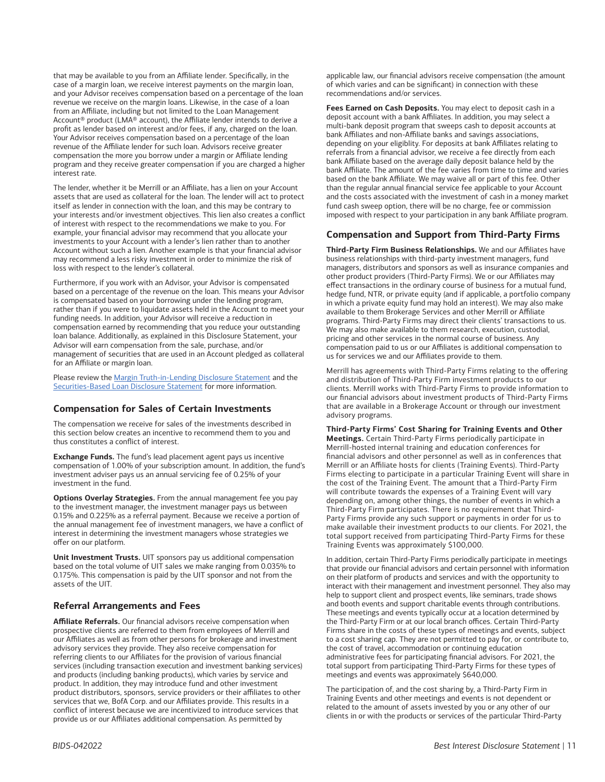that may be available to you from an Affiliate lender. Specifically, in the case of a margin loan, we receive interest payments on the margin loan, and your Advisor receives compensation based on a percentage of the loan revenue we receive on the margin loans. Likewise, in the case of a loan from an Affiliate, including but not limited to the Loan Management Account® product (LMA® account), the Affiliate lender intends to derive a profit as lender based on interest and/or fees, if any, charged on the loan. Your Advisor receives compensation based on a percentage of the loan revenue of the Affiliate lender for such loan. Advisors receive greater compensation the more you borrow under a margin or Affiliate lending program and they receive greater compensation if you are charged a higher interest rate.

The lender, whether it be Merrill or an Affiliate, has a lien on your Account assets that are used as collateral for the loan. The lender will act to protect itself as lender in connection with the loan, and this may be contrary to your interests and/or investment objectives. This lien also creates a conflict of interest with respect to the recommendations we make to you. For example, your financial advisor may recommend that you allocate your investments to your Account with a lender's lien rather than to another Account without such a lien. Another example is that your financial advisor may recommend a less risky investment in order to minimize the risk of loss with respect to the lender's collateral.

Furthermore, if you work with an Advisor, your Advisor is compensated based on a percentage of the revenue on the loan. This means your Advisor is compensated based on your borrowing under the lending program, rather than if you were to liquidate assets held in the Account to meet your funding needs. In addition, your Advisor will receive a reduction in compensation earned by recommending that you reduce your outstanding loan balance. Additionally, as explained in this Disclosure Statement, your Advisor will earn compensation from the sale, purchase, and/or management of securities that are used in an Account pledged as collateral for an Affiliate or margin loan.

Please review the [Margin Truth-in-Lending Disclosure Statement](https://olui2.fs.ml.com/publish/content/application/pdf/GWMOL/Margin-lending-disclosure.pdf) and the [Securities-Based Loan Disclosure Statement](https://olui2.fs.ml.com/publish/content/application/pdf/GWMOL/Securities-Based-Loan-Disclosure.pdf) for more information.

### **Compensation for Sales of Certain Investments**

The compensation we receive for sales of the investments described in this section below creates an incentive to recommend them to you and thus constitutes a conflict of interest.

**Exchange Funds.** The fund's lead placement agent pays us incentive compensation of 1.00% of your subscription amount. In addition, the fund's investment adviser pays us an annual servicing fee of 0.25% of your investment in the fund.

**Options Overlay Strategies.** From the annual management fee you pay to the investment manager, the investment manager pays us between 0.15% and 0.225% as a referral payment. Because we receive a portion of the annual management fee of investment managers, we have a conflict of interest in determining the investment managers whose strategies we offer on our platform.

**Unit Investment Trusts.** UIT sponsors pay us additional compensation based on the total volume of UIT sales we make ranging from 0.035% to 0.175%. This compensation is paid by the UIT sponsor and not from the assets of the UIT.

## **Referral Arrangements and Fees**

**Affiliate Referrals.** Our financial advisors receive compensation when prospective clients are referred to them from employees of Merrill and our Affiliates as well as from other persons for brokerage and investment advisory services they provide. They also receive compensation for referring clients to our Affiliates for the provision of various financial services (including transaction execution and investment banking services) and products (including banking products), which varies by service and product. In addition, they may introduce fund and other investment product distributors, sponsors, service providers or their affiliates to other services that we, BofA Corp. and our Affiliates provide. This results in a conflict of interest because we are incentivized to introduce services that provide us or our Affiliates additional compensation. As permitted by

applicable law, our financial advisors receive compensation (the amount of which varies and can be significant) in connection with these recommendations and/or services.

**Fees Earned on Cash Deposits.** You may elect to deposit cash in a deposit account with a bank Affiliates. In addition, you may select a multi-bank deposit program that sweeps cash to deposit accounts at bank Affiliates and non-Affiliate banks and savings associations, depending on your eligiblity. For deposits at bank Affiliates relating to referrals from a financial advisor, we receive a fee directly from each bank Affiliate based on the average daily deposit balance held by the bank Affiliate. The amount of the fee varies from time to time and varies based on the bank Affiliate. We may waive all or part of this fee. Other than the regular annual financial service fee applicable to your Account and the costs associated with the investment of cash in a money market fund cash sweep option, there will be no charge, fee or commission imposed with respect to your participation in any bank Affiliate program.

### **Compensation and Support from Third-Party Firms**

**Third-Party Firm Business Relationships.** We and our Affiliates have business relationships with third-party investment managers, fund managers, distributors and sponsors as well as insurance companies and other product providers (Third-Party Firms). We or our Affiliates may effect transactions in the ordinary course of business for a mutual fund, hedge fund, NTR, or private equity (and if applicable, a portfolio company in which a private equity fund may hold an interest). We may also make available to them Brokerage Services and other Merrill or Affiliate programs. Third-Party Firms may direct their clients' transactions to us. We may also make available to them research, execution, custodial, pricing and other services in the normal course of business. Any compensation paid to us or our Affiliates is additional compensation to us for services we and our Affiliates provide to them.

Merrill has agreements with Third-Party Firms relating to the offering and distribution of Third-Party Firm investment products to our clients. Merrill works with Third-Party Firms to provide information to our financial advisors about investment products of Third-Party Firms that are available in a Brokerage Account or through our investment advisory programs.

**Third-Party Firms' Cost Sharing for Training Events and Other Meetings.** Certain Third-Party Firms periodically participate in Merrill-hosted internal training and education conferences for financial advisors and other personnel as well as in conferences that Merrill or an Affiliate hosts for clients (Training Events). Third-Party Firms electing to participate in a particular Training Event will share in the cost of the Training Event. The amount that a Third-Party Firm will contribute towards the expenses of a Training Event will vary depending on, among other things, the number of events in which a Third-Party Firm participates. There is no requirement that Third-Party Firms provide any such support or payments in order for us to make available their investment products to our clients. For 2021, the total support received from participating Third-Party Firms for these Training Events was approximately \$100,000.

In addition, certain Third-Party Firms periodically participate in meetings that provide our financial advisors and certain personnel with information on their platform of products and services and with the opportunity to interact with their management and investment personnel. They also may help to support client and prospect events, like seminars, trade shows and booth events and support charitable events through contributions. These meetings and events typically occur at a location determined by the Third-Party Firm or at our local branch offices. Certain Third-Party Firms share in the costs of these types of meetings and events, subject to a cost sharing cap. They are not permitted to pay for, or contribute to, the cost of travel, accommodation or continuing education administrative fees for participating financial advisors. For 2021, the total support from participating Third-Party Firms for these types of meetings and events was approximately \$640,000.

The participation of, and the cost sharing by, a Third-Party Firm in Training Events and other meetings and events is not dependent or related to the amount of assets invested by you or any other of our clients in or with the products or services of the particular Third-Party